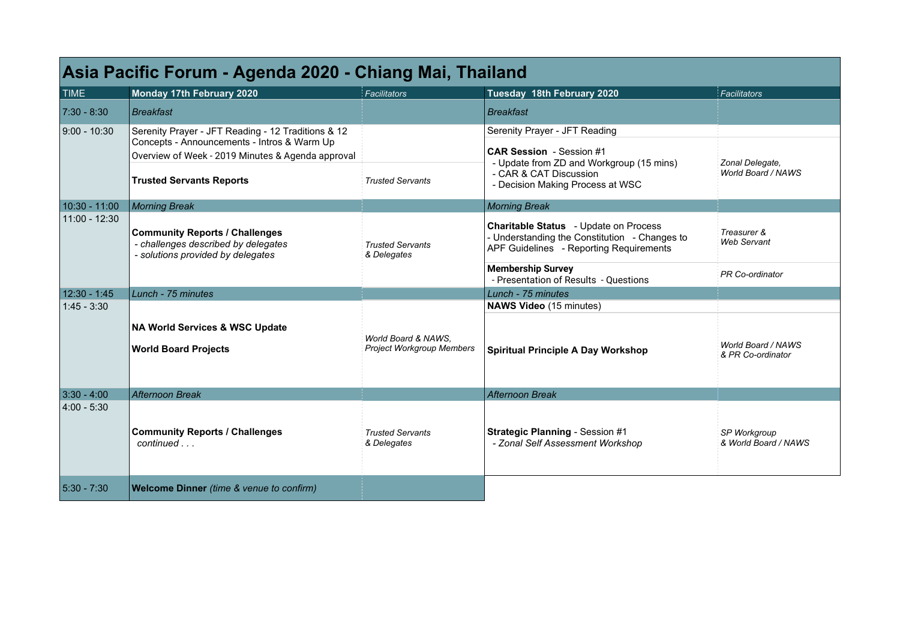| Asia Pacific Forum - Agenda 2020 - Chiang Mai, Thailand |                                                                                                                                                                                           |                                                         |                                                                                                                                                                            |                                         |  |  |
|---------------------------------------------------------|-------------------------------------------------------------------------------------------------------------------------------------------------------------------------------------------|---------------------------------------------------------|----------------------------------------------------------------------------------------------------------------------------------------------------------------------------|-----------------------------------------|--|--|
| <b>TIME</b>                                             | Monday 17th February 2020                                                                                                                                                                 | Facilitators                                            | Tuesday 18th February 2020                                                                                                                                                 | Facilitators                            |  |  |
| $7:30 - 8:30$                                           | Breakfast                                                                                                                                                                                 |                                                         | Breakfast                                                                                                                                                                  |                                         |  |  |
| 9:00 - 10:30                                            | Serenity Prayer - JFT Reading - 12 Traditions & 12<br>Concepts - Announcements - Intros & Warm Up<br>Overview of Week - 2019 Minutes & Agenda approval<br><b>Trusted Servants Reports</b> | <b>Trusted Servants</b>                                 | Serenity Prayer - JFT Reading<br><b>CAR Session</b> - Session #1<br>- Update from ZD and Workgroup (15 mins)<br>- CAR & CAT Discussion<br>- Decision Making Process at WSC | Zonal Delegate,<br>World Board / NAWS   |  |  |
| 10:30 - 11:00                                           | Morning Break                                                                                                                                                                             |                                                         | Morning Break                                                                                                                                                              |                                         |  |  |
| 11:00 - 12:30                                           | <b>Community Reports / Challenges</b><br>- challenges described by delegates<br>- solutions provided by delegates                                                                         | <b>Trusted Servants</b><br>& Delegates                  | <b>Charitable Status</b> - Update on Process<br>- Understanding the Constitution - Changes to<br>APF Guidelines - Reporting Requirements                                   | Treasurer &<br><b>Web Servant</b>       |  |  |
|                                                         |                                                                                                                                                                                           |                                                         | <b>Membership Survey</b><br>- Presentation of Results - Questions                                                                                                          | PR Co-ordinator                         |  |  |
| 12:30 - 1:45                                            | Lunch - 75 minutes                                                                                                                                                                        |                                                         | Lunch - 75 minutes                                                                                                                                                         |                                         |  |  |
| $1:45 - 3:30$                                           |                                                                                                                                                                                           |                                                         | <b>NAWS Video</b> (15 minutes)                                                                                                                                             |                                         |  |  |
|                                                         | <b>NA World Services &amp; WSC Update</b><br><b>World Board Projects</b>                                                                                                                  | World Board & NAWS.<br><b>Project Workgroup Members</b> | <b>Spiritual Principle A Day Workshop</b>                                                                                                                                  | World Board / NAWS<br>& PR Co-ordinator |  |  |
| $3:30 - 4:00$                                           | Afternoon Break                                                                                                                                                                           |                                                         | Afternoon Break                                                                                                                                                            |                                         |  |  |
| $4:00 - 5:30$                                           | <b>Community Reports / Challenges</b><br>continued                                                                                                                                        | <b>Trusted Servants</b><br>& Delegates                  | <b>Strategic Planning - Session #1</b><br>- Zonal Self Assessment Workshop                                                                                                 | SP Workgroup<br>& World Board / NAWS    |  |  |
| $5:30 - 7:30$                                           | Welcome Dinner (time & venue to confirm)                                                                                                                                                  |                                                         |                                                                                                                                                                            |                                         |  |  |